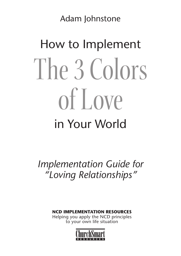Adam Johnstone

# How to Implement The 3 Colors of Love in Your World

*Implementation Guide for "Loving Relationships"*

**NCD IMPLEMENTATION RESOURCES**

Helping you apply the NCD principles to your own life situation

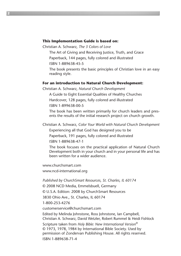#### **This Implementation Guide is based on:**

Christian A. Schwarz, *The 3 Colors of Love*

The Art of Giving and Receiving Justice, Truth, and Grace

Paperback, 144 pages, fully colored and illustrated

ISBN 1-889638-45-5

The book presents the basic principles of Christian love in an easy reading style.

#### **For an introduction to Natural Church Development:**

Christian A. Schwarz, *Natural Church Development*

A Guide to Eight Essential Qualities of Healthy Churches Hardcover, 128 pages, fully colored and illustrated ISBN 1-899638-00-5

The book has been written primarily for church leaders and presents the results of the initial research project on church growth.

Christian A. Schwarz, *Color Your World with Natural Church Development*

Experiencing all that God has designed you to be

Paperback, 191 pages, fully colored and illustrated

ISBN 1-889638-47-1

The book focuses on the practical application of Natural Church Development both in your church and in your personal life and has been written for a wider audience.

www.churchsmart.com

www.ncd-international.org

*Published by ChurchSmart Resources, St. Charles, IL 60174*

© 2008 NCD Media, Emmelsbuell, Germany

© U.S.A. Edition: 2008 by ChurchSmart Resources

3830 Ohio Ave., St. Charles, IL 60174

1-800-253-4276

customerservice@churchsmart.com

Edited by Melinda Johnstone, Ross Johnstone, Ian Campbell, Christian A. Schwarz, David Wetzler, Robert Rummel & Heidi Fishlock

Scripture taken from *Holy Bible: New International Version®* © 1973, 1978, 1984 by International Bible Society. Used by permission of Zondervan Publishing House. All rights reserved. ISBN 1-889638-71-4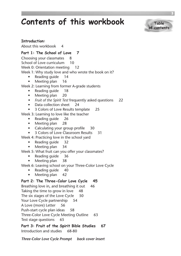### **Contents of this workbook**



#### **Introduction:**

About this workbook 4

#### **Part 1: The School of Love 7**

Choosing your classmates 8 School of Love curriculum 10 Week 0: Orientation meeting 12 Week 1: Why study love and who wrote the book on it? • Reading guide 14

- $\bullet$  Meeting plan 16
- Week 2: Learning from former A-grade students
	- Reading quide 18
	- Meeting plan 20
	- *s Fruit of the Spirit Test* frequently asked questions 22
	- Data collection sheet 24
	- s 3 Colors of Love Results template 25

Week 3: Learning to love like the teacher

- Reading guide 26
- Meeting plan 28
- Calculating your group profile 30
- s 3 Colors of Love Classroom Results 31
- Week 4: Practicing love in the school yard
	- Reading guide 32
	- Meeting plan 34
- Week 5: What fruit can you offer your classmates?
	- Reading guide 36
	- Meeting plan 38
- Week 6: Leaving school on your Three-Color Love Cycle
	- Reading quide 40
	- Meeting plan 42

#### **Part 2: The Three-Color Love Cycle 45**

Breathing love in, and breathing it out 46 Taking the time to grow in love 48 The six stages of the Love Cycle 50 Your Love Cycle partnership 54 A Love (more) Letter 56 Push-start cycle plan ideas 58 Three-Color Love Cycle Meeting Outline 63 Test stage questions 65

**Part 3: Fruit of the Spirit Bible Studies 67** Introduction and studies 68-80

*Three-Color Love Cycle Prompt back cover insert*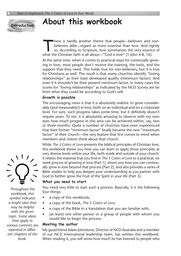#### **Introduction**

### **About this workbook**

There is hardly another theme that people—believers and non-<br>believers alike—regard as more essential than love. And rightly<br>so: According to Scripture, love summarizes the very essence of<br>what the Christian faith is all a believers alike—regard as more essential than love. And rightly so: According to Scripture, love summarizes the very essence of what the Christian faith is all about—"God is love" (1 John 4:8, 16).

At the same time, when it comes to practical steps for continually growing in love, most people don't receive the training, the tools, and the support that they need. This holds true for non-believers; but it is true for Christians as well. The result is that many churches identify "loving relationships" as their least developed quality (minimum factor). And even if it shouldn't be their present minimum factor, in many cases the scores for "loving relationships" as indicated by the NCD Survey are far from what they could be according to God's will.

#### **Growth is possible**

The encouraging news is that it is absolutely realistic to grow considerably (and measurably!) in love, both on an individual and on a corporate level. For sure, such progress takes some time, but it definitely doesn't require years. To me, it is absolutely amazing to observe with my own eyes how much progress in this area can be achieved within, say, two or three months. Quite a number of churches have even experienced that their former "minimum factor" finally became the new "maximum factor" of their church—the very feature that first comes to mind when members and visitors think about that church.

While *The 3 Colors of Love* presents the biblical principles of Christian love, this workbook shows you how you can learn to apply those principles at very diverse levels within your life, both inside and outside of your church. It relates the material that you find in *The 3 Colors of Love* to a practical, six week process of growing in love (Part 1), shows you how you can continually grow in love beyond that process (Part 2), and also provides a series of Bible studies to help you deepen your understanding as you partner with God to further grow the Fruit of the Spirit in your life (Part 3).

#### **What you need to start**

You need very little to start such a process. Basically, it is the following four things:

- a copy of this workbook,
- s a copy of the book, *The 3 Colors of Love*,
- a copy of the Bible in a translation that you are familiar with,
- (at least) one other person or a group of people with whom you would like to begin the process.

#### **Meeting the author**

My good friend Adam Johnstone, Director of NCD Australia and a member of our NCD International leadership team, has written this workbook. When reading it, you will sense how much he has listened to people who



*Throughout the workbook, this symbol indicates a bright idea that may be helpful with the given topic. Some ideas that apply in various contexts are repeated in different chapters of the book.*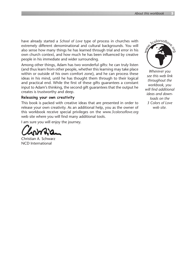have already started a *School of Love* type of process in churches with extremely different denominational and cultural backgrounds. You will also sense how many things he has learned through trial and error in his own church context, and how much he has been influenced by creative people in his immediate and wider surrounding.

Among other things, Adam has two wonderful gifts: he can truly listen (and thus learn from other people, whether this learning may take place within or outside of his own comfort zone), and he can process these ideas in his mind, until he has thought them through to their logical and practical end. While the first of these gifts guarantees a constant input to Adam's thinking, the second gift guarantees that the output he creates is trustworthy and deep.

#### **Releasing your own creativity**

This book is packed with creative ideas that are presented in order to release your own creativity. As an additional help, you as the owner of this workbook receive special privileges on the *www.3colorsoflove.org* web site where you will find many additional tools.

I am sure you will enjoy the journey.

Christian A. Schwarz NCD International



*Wherever you see this web link throughout the workbook, you will find additional ideas and downloads on the 3 Colors of Love web site.*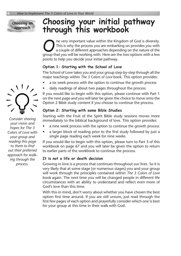**Choosing an approach**

### **Choosing your initial pathway through this workbook**

One very important value within the Kingdom of God is diversity.<br>This is why the process you are embarking on provides you with<br>a couple of different approaches depending on the nature of the<br>group that you will be working This is why the process you are embarking on provides you with a couple of different approaches depending on the nature of the group that you will be working with. Here are the two options with a few points to help you decide your initial pathway.

#### **Option 1: Starting with the School of Love**

The School of Love takes you and your group step-by-step through all the major teachings within *The 3 Colors of Love* book. This option provides:

- a six week process with the option to continue the growth process
- daily readings of about two pages throughout the process

If you would like to begin with this option, please continue with Part 1 on the next page and you will later be given the choice to move onto the Option 2 Bible study content if you choose to continue the process.

#### **Option 2: Starting with some Bible Studies**

Starting with the Fruit of the Spirit Bible study sessions moves more immediately to the biblical background of love. This option provides:

- a nine week process with the option to continue the growth process
- a larger block of reading prior to the first study followed by just a single page reading each week for nine weeks

If you would like to begin with this option, please turn to Part 3 of this workbook on page 67 and you will later be given the option to return to earlier parts of the workbook to continue the process.

#### **It is not a life or death decision**

Growing in love is a process that continues throughout our lives. So it is very likely that at some stage (or numerous stages) you and your group will work through the principles contained within *The 3 Colors of Love* book again. The next time you will be changed people in different life circumstances with an ability to understand and reflect even more of God's love than this time.

With this in mind, don't worry about whether you have chosen the best option first time around. If you are still unsure, just read through the first few pages of each option and prayerfully consider which one is best for your group at this time in their walk with God.



*Consider sharing your vision and hopes for The 3 Colors of Love with your group and reading this page to them to find out their preferred approach for walking through the process.*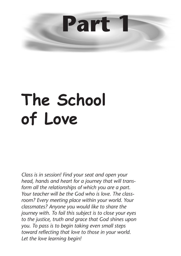

## **The School of Love**

*Class is in session! Find your seat and open your head, hands and heart for a journey that will transform all the relationships of which you are a part. Your teacher will be the God who is love. The classroom? Every meeting place within your world. Your classmates? Anyone you would like to share the journey with. To fail this subject is to close your eyes to the justice, truth and grace that God shines upon you. To pass is to begin taking even small steps toward reflecting that love to those in your world. Let the love learning begin!*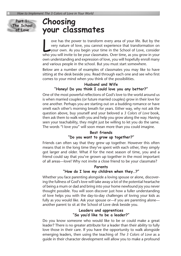**Part 1: The School of Love**

### **Choosing your classmates**

ove has the power to transform every area of your life. But by the very nature of love, you cannot experience that transformation on your own. As you begin your time in the School of Love, consider who you will in the to b ove has the power to transform every area of your life. But by the very nature of love, you cannot experience that transformation on who you will invite to be your classmates. Over time, as you grow in your own understanding and expression of love, you will hopefully enroll many and various people in the school. But you must start somewhere.

Below are a number of examples of classmates you may like to have sitting at the desk beside you. Read through each one and see who first comes to your mind when you think of the possibilities.

#### **Husband and Wife "Honey! Do you think I could love you any better?"**

One of the most powerful reflections of God's love to the world around us is when married couples (or future married couples) grow in their love for one another. Perhaps you are starting out on a budding romance or have smelt each other's morning breath for years. Either way, why not ask the question above, buy yourself and your beloved a *3 Colors of Love* book, then ask them to walk with you and help you grow along the way. Having seen your teachability, they might just be willing to let you do the same. The words "I love you" will soon mean more than you could imagine.

#### **Best friends "Do you want to grow up together?"**

Friends can often say that they grew up together. However this often means that in the long time they've spent with each other, they simply got larger and older. What if for the next season of time, you and a friend could say that you've grown up together in the most important of all areas—love! Why not invite a close friend to be your classmate?

#### **Parents**

#### **"How do I love my children when they…?"**

Whether you face parenting alongside a loving spouse or alone, discovering the fullness of God's love will take away a lot of the potential heartache of being a mum or dad and bring into your home newfound joy you never thought possible. You will soon discover just how a fuller understanding of love helps you with the day-to-day challenges of loving your kids as fully as you would like. Ask your spouse or—if you are parenting alone another parent to sit at the School of Love desk beside you.

#### **Leaders and apprentices "So you'd like to be a leader?"**

Do you know someone who would like to be or could make a great leader? There is no greater attribute for a leader than their ability to fully love those in their care. If you have the opportunity to walk alongside emerging leaders, then using the teaching of *The 3 Colors of Love* as a guide in their character development will allow you to make a profound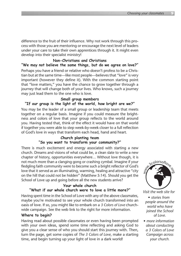difference to the fruit of their influence. Why not work through this process with those you are mentoring or encourage the next level of leaders under your care to take their own apprentices through it. It might even develop into their specialist ministry!

#### **Non-Christians and Christians**

#### **"We may not believe the same things, but do we agree on love?"**

Perhaps you have a friend or relative who doesn't profess to be a Christian but at the same time—like most people—believes that "love" is very important (however they define it). With the common starting point that "love matters," you have the chance to grow together through a journey that will change both of your lives. Who knows, such a journey may just lead them to the one who is love.

#### **Small group members**

#### **"If our group is the light of the world, how bright are we?"**

You may be the leader of a small group or leadership team that meets together on a regular basis. Imagine if you could measure the brightness and colors of love that your group reflects to the world around you. Having tested that, think of the effect it would have on that world if together you were able to step week-by-week closer to a full reflection of God's love in ways that transform each head, hand and heart.

#### **Church planting team "So you want to transform your community?"**

There is much excitement and energy associated with starting a new church. Dreams and visions of what could be, a clean slate to write a new chapter of history, opportunities everywhere… Without love though, it is not much more than a clanging gong or crashing cymbal. Imagine if your fledgling faith community were to become such a bright reflector of God's love that it served as an illuminating, warming, healing and attractive "city on the hill that could not be hidden" (Matthew 5:14). Should you get the School of Love up and going before all the new students arrive?

#### **Your whole church "What if our whole church were to love a little more?"**

Having spent time in the School of Love with any of the above classmates, maybe you're motivated to see your whole church transformed into an oasis of love. If so, you might like to embark on a *3 Colors of Love* churchwide campaign. See the web link to the right for more information.

#### **Where to begin?**

Having read about possible classmates or even having been prompted with your own ideas, spend some time reflecting and asking God to give you a clear sense of who you should start this journey with. Then, turn the page, get some copies of *The 3 Colors of Love*, make a starting time, and begin turning up your light of love in a dark world!



*Visit the web site for*

- *s stories from people around the world who have joined the School of Love.*
- *s more information about conducting a 3 Colors of Love Campaign across your church.*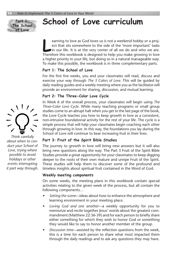### **School of Love curriculum**

earning to love as God loves us is not a weekend hobby or a project that sits somewhere to the side of the 'more important' tasks in our life. It is at the very center of all we do and who we are. Therefore this workbook is designed to help you make growing in love a higher priority in your life, but doing so in a natural manageable way. To make this possible, the workbook is in three complementary parts.

#### **Part 1: The School of Love**

For the first five weeks, you and your classmates will read, discuss and exercise your way through *The 3 Colors of Love*. This will be guided by daily reading guides and a weekly meeting where you as the facilitator will provide an environment for sharing, discussion, and mutual learning.

#### **Part 2: The Three-Color Love Cycle**

In Week 6 of the overall process, your classmates will begin using *The Three-Color Love Cycle*. While many teaching programs or small group studies come to an abrupt halt when you get to the last page of the book, the Love Cycle teaches you how to keep growth in love as a consistent, non-intrusive foundational activity for the rest of your life. The cycle is a simple process that will help your classmates begin coaching each other through growing in love. In this way, the foundations you lay during the School of Love will continue to bear increasing fruit in their lives.

#### **Part 3: Fruit of the Spirit Bible Studies**

The journey to growth in love will bring new answers but it will also bring new questions along the way. The Part 3 Fruit of the Spirit Bible Studies provide a great opportunity for your classmates to keep digging deeper to the roots of their own mature and unripe Fruit of the Spirit. These studies will help them to discover some of the profound and timeless insights about spiritual fruit contained in the Word of God.

#### **Weekly meeting components**

On some weeks, the meeting plans in this workbook contain special activities relating to the given week of the process, but all contain the following components…

- *s Setting the scene*—ideas about how to enhance the atmosphere and learning environment in your meeting place.
- *s Loving God and one another*—a weekly opportunity for you to memorize and recite together Jesus' words about the greatest commandment (Matthew 22:36-39) and for each person to briefly share either something for which they wish to honor God or something they would like to say to honor another member of the group.
- *s Discussion time*—assisted by the reflection questions from the week, this is a time for each person to share what most impacted them through the daily readings and to ask any questions they may have.



 $\frac{1}{2}$ 

**Part 1: The School of Love**

*holidays or other events interrupting it part way through.*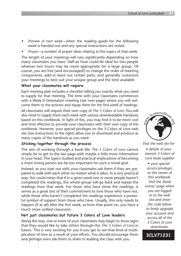- *s Preview of next week*—when the reading guide for the following week is handed out and any special instructions are noted.
- *s Prayer*—a number of prayer ideas relating to the topics of that week.

The length of your meetings will vary significantly depending on how many classmates you have. Half an hour could be ideal for two people whereas two hours may be more appropriate for a large group. Of course, you are free (and encouraged!) to change the order of meeting components, add or leave out certain parts, and generally customize your meetings to best suit your unique group and the time available.

#### **What your classmates will require**

Each meeting plan includes a checklist telling you exactly what you need to supply for that meeting. The time with your classmates commences with a Week 0 Orientation meeting (see next page) where you will welcome them to the process and equip them for the first week of readings.

All classmates will require their own copy of *The 3 Colors of Love*. You will also need to supply them each week with various downloadable handouts based on this workbook. In light of this, you may find it to be more cost and time effective to provide your classmates with their own copy of the workbook. However, your special privileges on the 3 Colors of Love web site (see instructions to the right) allow you to download and produce as many copies of the handouts as you need.

#### **Sticking together through the process**

The aim of working through a book like *The 3 Colors of Love* cannot simply be to get to the last page with maybe a little more information in your head. The topics studied and practical implications of becoming a more loving person are far too important for such a trivial goal.

Instead, as you start out with your classmates ask them if they are prepared to walk with each other no matter what it takes. In a very practical way, this could mean that if in a given week one or more people haven't completed the readings, the whole group will go back and repeat the readings from that week. For those who have done the readings, it serves as a great test of their commitment to love those who have not, while those who haven't completed the readings experience a powerful symbol of support from those who have. Usually, this only needs to happen (if at all) after the first week, as from that point on, you have a much more unified classroom.

#### **Not just classmates but future 3 Colors of Love leaders**

Along the way, one or more of your classmates may begin to show signs that they would like to take others through the *The 3 Colors of Love* in future. This is very exciting for you if you get to see that kind of multiplication of love as a result of your efforts. You should encourage them and perhaps even ask them to share in leading the class with you.



*Visit the web site for s details of your nearest 3 Colors of Love book supplier*

*s your special access privileges as the owner of this workbook. Visit the 'book extras' page when you are logged in to the web site and enter the code below to freely upgrade your account and access all of the 3 Colors of Love downloads.*

**3CLV71231**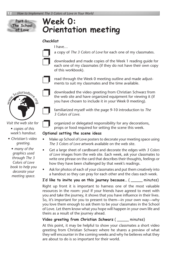### **Week 0: Orientation meeting**

#### **Checklist**

I have…



a copy of *The 3 Colors of Love* for each one of my classmates.

❐ downloaded and made copies of the Week 1 reading guide for each one of my classmates (if they do not have their own copy of this workbook).



read through the Week 0 meeting outline and made adjustments to suit my classmates and the time available.



**Part 1: The School of Love**

*Visit the web site for*

- *s copies of this week's handout.*
- *s Christian's video greeting.*
- *s many of the graphics used through The 3 Colors of Love book to help you decorate your meeting space.*

❐ downloaded the video greeting from Christian Schwarz from the web site and have organized equipment for viewing it (if you have chosen to include it in your Week 0 meeting).

familiarized myself with the page 9-10 introduction to *The 3 Colors of Love*.

❐ organized or delegated responsibility for any decorations, props or food required for setting the scene this week.

#### **Optional setting the scene ideas**

- Make up School of Love posters to decorate your meeting space using *The 3 Colors of Love* artwork available on the web site.
- s Get a large sheet of cardboard and decorate the edges with *3 Colors of Love* images from the web site. Each week, ask your classmates to write one phrase on the card that describes their thoughts, feelings or how they have been challenged by that week's readings.
- Ask for photos of each of your classmates and put them creatively into a handout so they can pray for each other and the class each week.

**I'd like to invite you on this journey because…** ( \_\_\_\_\_ minutes)

Right up front it is important to harness one of the most valuable resources in the room: you! If your friends have agreed to meet with you and take the journey, it shows that you have influence in their lives. So, it's important for you to present to them*—*in your own way*—*why you love them enough to ask them to be your classmates in the School of Love. Let them know what you hope will happen in your own life and theirs as a result of the journey ahead.

#### **Video greeting from Christian Schwarz** ( \_\_\_\_\_ minutes)

At this point, it may be helpful to show your classmates a short video greeting from Christian Schwarz where he shares a preview of what they will encounter in the coming weeks and why he believes what they are about to do is so important for their world.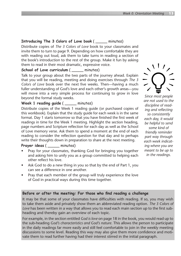#### **Introducing The 3 Colors of Love book** ( \_\_\_\_\_ minutes)

Distribute copies of *The 3 Colors of Love* book to your classmates and invite them to turn to page 9. Depending on how comfortable they are with reading out loud, ask them to take turns in reading a section of the book's introduction to the rest of the group. Make it fun by asking them to read in their most dramatic, expressive voice.

#### **School of Love curriculum** ( \_\_\_\_\_ minutes)

Talk to your group about the two parts of the journey ahead. Explain that you will be reading, meeting and doing exercises through *The 3 Colors of Love* book over the next five weeks. Then—having a much fuller understanding of God's love and each other's growth areas—you will move into a very simple process for continuing to grow in love beyond the formal study weeks.

#### **Week 1 reading guide** ( \_\_\_\_\_ minutes)

Distribute copies of the Week 1 reading guide (or purchased copies of this workbook). Explain that the study guide for each week is in the same format. Day 1 starts tomorrow so that you have finished the first week of readings in time for the Week 1 meeting. Highlight the section heading, page numbers and Scripture reflection for each day as well as the School of Love memory verse. Ask them to spend a moment at the end of each reading to consider the reflection question for that day and to perhaps write their thoughts down in preparation to share at the next meeting.

#### Prayer ideas ( minutes)

- Pray for your classmates, thanking God for bringing you together and asking him to unify you as a group committed to helping each other reflect his love.
- Ask God to do a new thing in you so that by the end of Part 1, you can see a difference in one another.
- Pray that each member of the group will truly experience the love of God in practical ways during this time together.

#### **Before or after the meeting: For those who fnd reading a challenge**

It may be that some of your classmates have difficulties with reading. If so, you may wish to take them aside and privately show them an abbreviated reading option. *The 3 Colors of Love* has been written in a way that allows you to read each main section up to the first subheading and thereby gain an overview of each topic.

For example, in the section entitled *God is love* on page 18 in the book, you would read up to the sub-heading *God's characteristics and God's nature*. This allows the person to participate in the daily readings far more easily and still feel comfortable to join in the weekly meeting discussions to some level. Reading this way may also give them more confidence and motivate them to read further having had their interest stirred in the initial paragraph.



*Since most people are not used to the discipline of reading and reflecting so consistently each day, it would be helpful to send some kind of friendly reminder part way through each week indicating where you are meant to be up to in the readings.*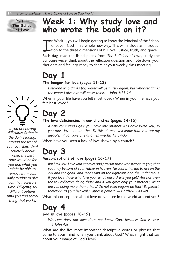**Part 1: The School of Love**

### **Week 1: Why study love and who wrote the book on it?**

I n Week 1, you will begin getting to know the Principal of the School of Love—God—in a whole new way. This will include an introduction to the three dimensions of his love: justice, truth, and grace.

Each day, read the listed pages from *The 3 Colors of Love*, study the Scripture verse, think about the reflection question and note down your thoughts and feelings ready to share at your weekly class meeting.

### **Day 1 The hunger for love (pages 11-13)**

*Everyone who drinks this water will be thirsty again, but whoever drinks the water I give him will never thirst. —John 4:13-14*

When in your life have you felt most loved? When in your life have you felt least loved?

### **Day 2**

#### The love deficiencies in our churches (pages 14-15)

*A new command I give you: Love one another. As I have loved you, so you must love one another. By this all men will know that you are my disciples, if you love one another. —John 13:34-35*

When have you seen a lack of love shown by a church?

### **Day 3**

#### **Misconceptions of love (pages 16-17)**

*But I tell you: Love your enemies and pray for those who persecute you, that you may be sons of your Father in heaven. He causes his sun to rise on the evil and the good, and sends rain on the righteous and the unrighteous. If you love those who love you, what reward will you get? Are not even the tax collectors doing that? And if you greet only your brothers, what are you doing more than others? Do not even pagans do that? Be perfect, therefore, as your heavenly Father is perfect. —Matthew 5:44-48*

What misconceptions about love do you see in the world around you?

#### **Day 4 God is love (pages 18-19)**

*Whoever does not love does not know God, because God is love. —1 John 4:8*

What are the five most important descriptive words or phrases that come to your mind when you think about God? What might that say about your image of God's love?



*If you are having difficulties fitting in the daily readings around the rest of your activities, think seriously about when the best time would be for you and what you might be able to remove from your daily routine to give you the necessary time. Diligently try different options until you find something that works.*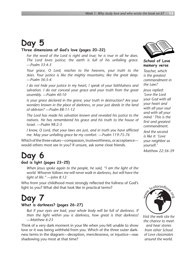### **Day 5**

#### **Three dimensions of God's love (pages 20-22)**

*For the word of the Lord is right and true; he is true in all he does. The Lord loves justice; the earth is full of his unfailing grace. —Psalm 33:4-5*

*Your grace, O Lord, reaches to the heavens, your truth to the skies. Your justice is like the mighty mountains; like the great deep. —Psalm 36:5-6*

*I do not hide your justice in my heart; I speak of your faithfulness and salvation. I do not conceal your grace and your truth from the great assembly. —Psalm 40:10*

*Is your grace declared in the grave, your truth in destruction? Are your wonders known in the place of darkness, or your just deeds in the land of oblivion? —Psalm 88:11-12*

*The Lord has made his salvation known and revealed his justice to the nations. He has remembered his grace and his truth to the house of Israel. —Psalm 98:2-3*

*I know, O Lord, that your laws are just, and in truth you have afflicted me. May your unfailing grace be my comfort. —Psalm 119:75-76*

Which of the three values—compassion, trustworthiness, or acceptance would others most see in you? If unsure, ask some close friends.

### **Day 6**

#### **God is light (pages 23-25)**

*When Jesus spoke again to the people, he said, "I am the light of the world. Whoever follows me will never walk in darkness, but will have the light of life." —John 8:12*

Who from your childhood most strongly reflected the fullness of God's light to you? What did that look like in practical terms?

### **Day 7**

#### **What is darkness? (pages 26-27)**

*But if your eyes are bad, your whole body will be full of darkness. If then the light within you is darkness, how great is that darkness! —Matthew 6:23*

Think of a very dark moment in your life when you felt unable to show love or it was being withheld from you. Which of the three outer darkness terms in the diagram—deception, mercilessness, or injustice—was shadowing you most at that time?



**School of Love memory verse**

*Teacher, which is the greatest commandment in the Law?*

*Jesus replied: 'Love the Lord your God with all your heart and with all your soul and with all your mind.' This is the first and greatest commandment. And the second is like it: 'Love your neighbor as yourself.'*

*Matthew 22:36-39*



*Visit the web site for the chance to meet and hear stories from other School of Love classmates around the world.*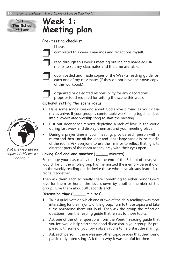

### **Week 1: Meeting plan**

#### **Pre-meeting checklist**

I have…

❐ completed this week's readings and reflections myself.



read through this week's meeting outline and made adjustments to suit my classmates and the time available.



❐ downloaded and made copies of the Week 2 reading guide for each one of my classmates (if they do not have their own copy of this workbook).



❐ organized or delegated responsibility for any decorations, props or food required for setting the scene this week.

#### **Optional setting the scene ideas**

- Have some songs speaking about God's love playing as your classmates arrive. If your group is comfortable worshiping together, lead into a love-related worship song to start the meeting.
- Cut out newspaper reports depicting a lack of love in the world during last week and display them around your meeting place.
- During a prayer time in your meeting, provide each person with a mirror and then turn off the lights and light a large candle in the middle of the room. Ask everyone to use their mirror to reflect that light to different parts of the room as they pray with their eyes open.

#### **Loving God and one another** ( \_\_\_\_\_ minutes)

Encourage your classmates that by the end of the School of Love, you would like it if the whole group has memorized the memory verse shown on the weekly reading guide. Invite those who have already learnt it to recite it together.

Then ask them each to briefly share something to either honor God's love for them or honor the love shown by another member of the group. Give them about 30 seconds each.

#### **Discussion time** ( \_\_\_\_\_ minutes)

- 1. Take a quick vote on which one or two of the daily readings was most interesting for the majority of the group. Turn to those topics and take turns re-reading them out loud. Then ask the group the reflection questions from the reading guide that relates to those topics.
- 2. Ask one of the other questions from the Week 1 reading guide that you feel would help start some good discussion in your group. Be prepared with some of your own observations to help start the sharing.
- 3. Ask each person if there was any other topic or idea that they found particularly interesting. Ask them why it was helpful for them.



*Visit the web site for copies of this week's handout.*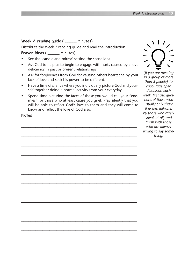#### **Week 2 reading guide** ( \_\_\_\_\_ minutes)

Distribute the Week 2 reading guide and read the introduction.

#### **Prayer ideas** ( \_\_\_\_\_ minutes)

- See the 'candle and mirror' setting the scene idea.
- Ask God to help us to begin to engage with hurts caused by a love deficiency in past or present relationships.
- Ask for forgiveness from God for causing others heartache by your lack of love and seek his power to be different.
- Have a time of silence where you individually picture God and yourself together doing a normal activity from your everyday.
- Spend time picturing the faces of those you would call your "enemies", or those who at least cause you grief. Pray silently that you will be able to reflect God's love to them and they will come to know and reflect the love of God also.

**\_\_\_\_\_\_\_\_\_\_\_\_\_\_\_\_\_\_\_\_\_\_\_\_\_\_\_\_\_\_\_\_\_\_\_\_\_\_\_\_\_\_\_\_\_\_\_\_\_**

**\_\_\_\_\_\_\_\_\_\_\_\_\_\_\_\_\_\_\_\_\_\_\_\_\_\_\_\_\_\_\_\_\_\_\_\_\_\_\_\_\_\_\_\_\_\_\_\_\_**

**\_\_\_\_\_\_\_\_\_\_\_\_\_\_\_\_\_\_\_\_\_\_\_\_\_\_\_\_\_\_\_\_\_\_\_\_\_\_\_\_\_\_\_\_\_\_\_\_\_**

**\_\_\_\_\_\_\_\_\_\_\_\_\_\_\_\_\_\_\_\_\_\_\_\_\_\_\_\_\_\_\_\_\_\_\_\_\_\_\_\_\_\_\_\_\_\_\_\_\_**

**\_\_\_\_\_\_\_\_\_\_\_\_\_\_\_\_\_\_\_\_\_\_\_\_\_\_\_\_\_\_\_\_\_\_\_\_\_\_\_\_\_\_\_\_\_\_\_\_\_**

**\_\_\_\_\_\_\_\_\_\_\_\_\_\_\_\_\_\_\_\_\_\_\_\_\_\_\_\_\_\_\_\_\_\_\_\_\_\_\_\_\_\_\_\_\_\_\_\_\_**

**\_\_\_\_\_\_\_\_\_\_\_\_\_\_\_\_\_\_\_\_\_\_\_\_\_\_\_\_\_\_\_\_\_\_\_\_\_\_\_\_\_\_\_\_\_\_\_\_\_**

**\_\_\_\_\_\_\_\_\_\_\_\_\_\_\_\_\_\_\_\_\_\_\_\_\_\_\_\_\_\_\_\_\_\_\_\_\_\_\_\_\_\_\_\_\_\_\_\_\_**

**\_\_\_\_\_\_\_\_\_\_\_\_\_\_\_\_\_\_\_\_\_\_\_\_\_\_\_\_\_\_\_\_\_\_\_\_\_\_\_\_\_\_\_\_\_\_\_\_\_**

**\_\_\_\_\_\_\_\_\_\_\_\_\_\_\_\_\_\_\_\_\_\_\_\_\_\_\_\_\_\_\_\_\_\_\_\_\_\_\_\_\_\_\_\_\_\_\_\_\_**

**\_\_\_\_\_\_\_\_\_\_\_\_\_\_\_\_\_\_\_\_\_\_\_\_\_\_\_\_\_\_\_\_\_\_\_\_\_\_\_\_\_\_\_\_\_\_\_\_\_**

**\_\_\_\_\_\_\_\_\_\_\_\_\_\_\_\_\_\_\_\_\_\_\_\_\_\_\_\_\_\_\_\_\_\_\_\_\_\_\_\_\_\_\_\_\_\_\_\_\_**

**\_\_\_\_\_\_\_\_\_\_\_\_\_\_\_\_\_\_\_\_\_\_\_\_\_\_\_\_\_\_\_\_\_\_\_\_\_\_\_\_\_\_\_\_\_\_\_\_\_**

**Notes**

*(If you are meeting in a group of more than 3 people) To encourage open discussion each week, first ask questions of those who usually only share if asked, followed by those who rarely speak at all, and finish with those who are always willing to say something.*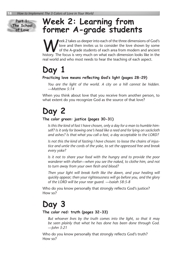**Part 1: The School of Love**

### **Week 2: Learning from former A-grade students**

eek 2 takes us deeper into each of the three dimensions of God's love and then invites us to consider the love shown by some of the A-grade students of each area from modern and ancient history. The focus is very much on what each dimension looks like in the real world and who most needs to hear the teaching of each aspect.

### **Day 1**

#### **Practicing love means refecting God's light (pages 28-29)**

*You are the light of the world. A city on a hill cannot be hidden. —Matthew 5:14*

When you think about love that you receive from another person, to what extent do you recognize God as the source of that love?

### **Day 2**

#### **The color green: justice (pages 30-31)**

*Is this the kind of fast I have chosen, only a day for a man to humble himself? Is it only for bowing one's head like a reed and for lying on sackcloth and ashes? Is that what you call a fast, a day acceptable to the LORD?*

*Is not this the kind of fasting I have chosen: to loose the chains of injustice and untie the cords of the yoke, to set the oppressed free and break every yoke?*

*Is it not to share your food with the hungry and to provide the poor wanderer with shelter—when you see the naked, to clothe him, and not to turn away from your own flesh and blood?*

*Then your light will break forth like the dawn, and your healing will quickly appear; then your righteousness will go before you, and the glory of the LORD will be your rear guard. —Isaiah 58:5-8*

Who do you know personally that strongly reflects God's justice? How so?

### **Day 3**

#### **The color red: truth (pages 32-33)**

*But whoever lives by the truth comes into the light, so that it may be seen plainly that what he has done has been done through God. —John 3:21*

Who do you know personally that strongly reflects God's truth? How so?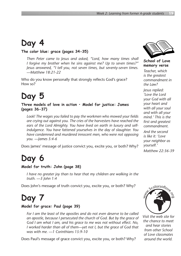### **Day 4**

#### **The color blue: grace (pages 34-35)**

*Then Peter came to Jesus and asked, "Lord, how many times shall I forgive my brother when he sins against me? Up to seven times?" Jesus answered, "I tell you, not seven times, but seventy-seven times. —Matthew 18:21-22*

Who do you know personally that strongly reflects God's grace? How so?

### **Day 5**

**Three models of love in action • Model for justice: James (pages 36-37)**

*Look! The wages you failed to pay the workmen who mowed your fields are crying out against you. The cries of the harvesters have reached the ears of the Lord Almighty. You have lived on earth in luxury and selfindulgence. You have fattened yourselves in the day of slaughter. You have condemned and murdered innocent men, who were not opposing you. —James 5:4-6*

Does James' message of justice convict you, excite you, or both? Why?

### **Day 6**

#### **Model for truth: John (page 38)**

*I have no greater joy than to hear that my children are walking in the truth. —3 John 1:4*

Does John's message of truth convict you, excite you, or both? Why?

### **Day 7**

#### **Model for grace: Paul (page 39)**

*For I am the least of the apostles and do not even deserve to be called an apostle, because I persecuted the church of God. But by the grace of God I am what I am, and his grace to me was not without effect. No, I worked harder than all of them—yet not I, but the grace of God that was with me. —1 Corinthians 15:9-10*

Does Paul's message of grace convict you, excite you, or both? Why?



**School of Love memory verse**

*Teacher, which is the greatest commandment in the Law?*

*Jesus replied: 'Love the Lord your God with all your heart and with all your soul and with all your mind.' This is the first and greatest commandment. And the second is like it: 'Love your neighbor as yourself.' Matthew 22:36-39*



*Visit the web site for the chance to meet and hear stories from other School of Love classmates around the world.*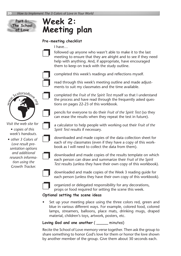

### **Week 2: Meeting plan**

#### **Pre-meeting checklist**

I have…

followed up anyone who wasn't able to make it to the last meeting to ensure that they are alright and to see if they need help with anything. And, if appropriate, have encouraged them to keep on track with the study outline.



❐ completed this week's readings and reflections myself.

read through this week's meeting outline and made adjustments to suit my classmates and the time available.



*Visit the web site for* 

*s copies of this week's handouts.*

*s other 3 Colors of Love result presentation options and additional research information using the Growth Tracker.*



❐ completed the *Fruit of the Spirit Test* myself so that I understand the process and have read through the frequently asked questions on pages 22-23 of this workbook.

❐ pencils for everyone to do their *Fruit of the Spirit Test* (so they can erase the results when they repeat the test in future).

❐ a calculator to help people with working out their *Fruit of the Spirit Test* results if necessary.

❐ downloaded and made copies of the data collection sheet for each of my classmates (even if they have a copy of this workbook as I will need to collect the data from them).



❐ downloaded and made copies of the results template on which each person can draw and summarize their *Fruit of the Spirit Test* results (unless they have their own copy of this workbook).



❐ downloaded and made copies of the Week 3 reading guide for each person (unless they have their own copy of this workbook).



❐ organized or delegated responsibility for any decorations, props or food required for setting the scene this week.

#### **Optional setting the scene ideas**

Set up your meeting place using the three colors red, green and blue in various different ways. For example, colored food, colored lamps, streamers, balloons, place mats, drinking mugs, draped material, children's toys, artwork, posters, etc.

**Loving God and one another** ( \_\_\_\_\_ minutes)

Recite the School of Love memory verse together. Then ask the group to share something to honor God's love for them or honor the love shown by another member of the group. Give them about 30 seconds each.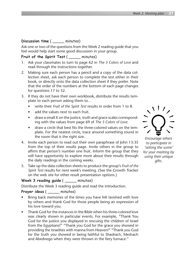#### **Discussion time** ( \_\_\_\_\_ minutes)

Ask one or two of the questions from the Week 2 reading guide that you feel would help start some good discussion in your group.

#### **Fruit of the Spirit Test** ( \_\_\_\_\_ minutes)

- 1. Ask your classmates to turn to page 62 in *The 3 Colors of Love* and read through the instructions together.
- 2. Making sure each person has a pencil and a copy of the data collection sheet, ask each person to complete the test either in their book, or directly onto the data collection sheet if they prefer. Note that the order of the numbers at the bottom of each page changes for questions 17 to 32.
- 3. If they do not have their own workbook, distribute the results template to each person asking them to…
	- s write their *Fruit of the Spirit Test* results in order from 1 to 8.
	- add the values next to each fruit.
	- draw a small X on the justice, truth and grace scales corresponding with the values from page 69 of *The 3 Colors of Love.*
	- draw a circle that best fits the three-colored values on the template. For the neatest circle, trace around something round in the room that is the right size.
- 4. Invite each person to read out their own paraphrase of John 13:35 from the top of their results page. Invite others in the group to affirm that person's number one fruit. Inform the group that they will have opportunity to explore more about their results through the daily readings in the coming weeks.
- 5. Take up the data collection sheets to produce the group's *Fruit of the Spirit Test* results for next week's meeting. (See the Growth Tracker on the web site for other result presentation options.)

#### **Week 3 reading guide** ( \_\_\_\_\_ minutes)

Distribute the Week 3 reading guide and read the introduction.

#### **Prayer ideas** ( \_\_\_\_\_ minutes)

- Bring back memories of the times you have felt lavished with love by others and thank God for those people being an expression of his love toward you.
- Thank God for the instances in the Bible when his three-colored love was clearly shown in particular events. For example, "Thank You God for the justice you displayed in rescuing the children of Israel from the Egyptians!" "Thank you God for the grace you showed in providing the Israelites with manna from Heaven!" "Thank you God for the truth you showed in being faithful to Shadrach, Meshach and Abednego when they were thrown in the fiery furnace."



*Encourage others to participate in 'setting the scene' for your meeting by using their unique gifts.*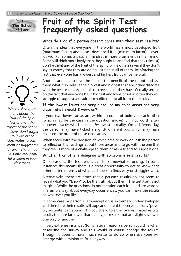

### **Fruit of the Spirit Test frequently asked questions**

#### **What do I do if a person doesn't agree with their test results?**

Often the idea that everyone in the world has a most developed fruit (maximum factor) and a least developed fruit (minimum factor) is overlooked. For some, a pass/fail mindset is more prominent in their mind. Some will think more lowly than they ought to and feel that they (almost) don't exhibit any of the Fruit of the Spirit, while others (even if they don't say it) convey that they are doing just fine in all of them. Reinforcing the fact that everyone has a lowest and highest fruit can be helpful.

Another angle is to give the person the benefit of the doubt and ask them what *they* believe their lowest and highest fruit are if they disagree with the test results. Again this can reveal that they haven't really settled on the fact that everyone has a highest and lowest fruit as often they will struggle to suggest a result much different at all from the results.

#### **If the lowest fruits are very close, or my color areas are very close, what should I work on?**

If your two lowest areas are within a couple of points of each other (which may be the case in the question above) it is not worth arguing over exactly which area is *the* lowest in reality. On a different day, the person may have ticked a slightly different box which may have reversed the order of these close areas.

When faced with the decision of which area to work on, ask the person to reflect on the readings about those areas and to go with the one that they feel is more of a challenge to them or ask a friend to suggest one.

#### **What if I or others disagree with someone else's results?**

On occasions, the test results can be somewhat surprising. In some instances this means there is a great opportunity to get to know each other better in terms of what each person finds easy or struggles with.

Alternatively, there are times that a person's results do not seem to reveal what you "know" to be the truth about them. The test itself is not magical. While the questions do not mention each fruit and are worded in a simple way about everyday occurrences, you can make the results be whatever you like.

In some cases a person's self-perception is extremely underdeveloped and therefore their results will appear different to everyone else's (possibly accurate) perception. This could lead to either overestimated results, results that are far lower than reality, or results that are slightly skewed one way or another.

In very extreme instances (for whatever reason) a person could lie when answering the survey and this would of course change the results. Though it doesn't make much sense to do so when everyone will emerge with a minimum fruit anyway.



*When asked questions about the Fruit of the Spirit Test or any other aspect of the School of Love, don't forget to invite other classmates to comment or suggest an answer. There may be some very helpful wisdom in your classroom.*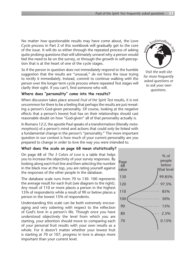No matter *how* questionable results may have come about, the Love Cycle process in Part 2 of this workbook will gradually get to the core of the issue. It will do so either through the repeated process of asking quite probing questions that will ultimately unravel why a person would feel the need to lie on the survey, or through the growth in self-perception that is at the heart of one of the cycle stages.

So if the person in question does not immediately respond to the humble suggestion that the results are "unusual," *do not* force the issue trying to rectify it immediately. Instead, commit to continue walking with the person over the longer term cycle process where repeated Test stages will clarify their sight. If you can't, find someone who will.

#### **Where does "personality" come into the results?**

When discussion takes place around *Fruit of the Spirit Test* results, it is not uncommon for there to be a feeling that perhaps the results are just revealing a person's God-given personality. Of course, looking at the negative effects that a person's lowest fruit has on their relationships should cast reasonable doubt on how "God-given" all of that personality actually is.

In Romans 12:2, the apostle Paul speaks of a transformation (literally *metamorphosis*) of a person's mind and actions that could only be linked with a fundamental change in the person's "personality." The more important question in our context is how much of your current personality are you prepared to change in order to love the way you were intended to.

#### **What does the scale on page 68 mean statistically?**

On page 68 of *The 3 Colors of Love* is a table that helps you to increase the objectivity of your survey responses. By looking along each fruit line and then selecting the number in the black row at the top, you are rating yourself against the responses of the other people in the database.

The database scale runs from 70 to 130. 100 represents the average result for each fruit (see diagram to the right). Any result of 110 or more places a person in the highest 15% of respondents while a result of 90 or below places a person in the lowest 15% of respondents.

Understanding this scale can be both extremely encouraging and very sobering with respect to the reflection of God's love in a person's life. Though once you have understood objectively the level from which you are starting, your attention should move to comparing each of *your* personal fruit results with your own results as a whole. For it doesn't matter whether your lowest fruit is starting at 70 or 107, progress in love is always more important than your current level.





*Visit the web site for more frequently asked questions or to ask your own questions.*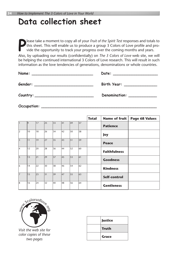### **Data collection sheet**

**P** lease take a moment to copy all of your *Fruit of the Spirit Test* responses and totals to this sheet. This will enable us to produce a group 3 Colors of Love profile and provide the opportunity to track your progress over the coming months and years.

Also, by uploading our results (confidentially) on *The 3 Colors of Love* web site, we will be helping the continued international 3 Colors of Love research. This will result in such information as the love tendencies of generations, denominations or whole countries.

| Name:<br><u> 1989 - Johann John Stoff, deutscher Stoffen und der Stoffen und der Stoffen und der Stoffen und der Stoffen u</u> | Date:                                                                                                          |
|--------------------------------------------------------------------------------------------------------------------------------|----------------------------------------------------------------------------------------------------------------|
|                                                                                                                                |                                                                                                                |
| Gender:<br>the contract of the contract of the contract of the contract of the contract of                                     | Birth Year: Neutralian Maria Maria Maria Maria Maria Maria Maria Maria Maria Maria Maria Maria Maria Maria Mar |
|                                                                                                                                |                                                                                                                |
| Country:                                                                                                                       | Denomination: Network                                                                                          |
|                                                                                                                                |                                                                                                                |

**Occupation: \_\_\_\_\_\_\_\_\_\_\_\_\_\_\_\_\_\_\_\_\_\_\_\_\_\_\_\_\_\_\_\_\_\_\_\_\_\_\_\_\_\_\_\_\_\_\_\_\_**

|                         |    |    |                 |    |              |                 |             | <b>Total</b> | <b>Name of fruit</b> | <b>Page 68 Values</b> |
|-------------------------|----|----|-----------------|----|--------------|-----------------|-------------|--------------|----------------------|-----------------------|
| $\vert$ 1               | 9  | 17 | $\overline{25}$ | 33 | 41           | 49              | 57          |              | <b>Patience</b>      |                       |
| $\vert$ 2               | 10 | 18 | 26              | 34 | 42           | 50              | 58          |              | Joy                  |                       |
| $\overline{\mathbf{3}}$ | 11 | 19 | 27              | 35 | $ 43\rangle$ | 51              | 59          |              | <b>Peace</b>         |                       |
| 4                       | 12 | 20 | 28              | 36 | 44           | 52              | 60          |              | <b>Faithfulness</b>  |                       |
| $\overline{5}$          | 13 | 21 | 29              | 37 | 45           | $\overline{53}$ | $\sqrt{61}$ |              | <b>Goodness</b>      |                       |
| 6                       | 14 | 22 | 30              | 38 | 46           | 54              | 62          |              | <b>Kindness</b>      |                       |
| $\overline{7}$          | 15 | 23 | 31              | 39 | 47           | 55              | 63          |              | Self-control         |                       |
| l8                      | 16 | 24 | 32              | 40 | 48           | 56              | 64          |              | <b>Gentleness</b>    |                       |



*Visit the web site for color copies of these two pages*

| <b>Justice</b> |
|----------------|
| <b>Truth</b>   |
| <b>Grace</b>   |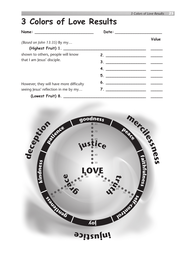### **3 Colors of Love Results**

| (Based on John 13:35) By my             |                               | Value |
|-----------------------------------------|-------------------------------|-------|
|                                         |                               |       |
| shown to others, people will know       | 2. $\qquad \qquad$            |       |
| that I am Jesus' disciple.              |                               |       |
|                                         |                               |       |
|                                         |                               |       |
| However, they will have more difficulty | $6.$ $\overline{\phantom{a}}$ |       |
| seeing Jesus' reflection in me by my    |                               |       |
|                                         |                               |       |

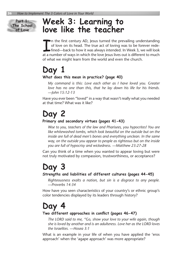

### **Week 3: Learning to love like the teacher**

If a number of ways in which the love Jesus lives out is different to much at a number of ways in which the love Jesus lives out is different to much at a number of ways in which the love Jesus lives out is different to mu n the first century AD, Jesus turned the prevailing understanding of love on its head. The true act of loving was to be forever redefined—back to how it was always intended. In Week 3, we will look of what we might learn from the world and even the church.

#### **Day 1 What does this mean in practice? (page 40)**

*My command is this: Love each other as I have loved you. Greater love has no one than this, that he lay down his life for his friends. —John 15:12-13*

Have you ever been "loved" in a way that wasn't really what you needed at that time? What was it like?

### **Day 2**

#### **Primary and secondary virtues (pages 41-43)**

*Woe to you, teachers of the law and Pharisees, you hypocrites! You are like whitewashed tombs, which look beautiful on the outside but on the inside are full of dead men's bones and everything unclean. In the same way, on the outside you appear to people as righteous but on the inside you are full of hypocrisy and wickedness. —Matthew 23:27-28*

Can you think of a time when you wanted to appear loving but were not truly motivated by compassion, trustworthiness, or acceptance?

### **Day 3**

#### **Strengths and liabilities of different cultures (pages 44-45)**

*Righteousness exalts a nation, but sin is a disgrace to any people. —Proverbs 14:34*

How have you seen characteristics of your country's or ethnic group's color tendencies displayed by its leaders through history?

### **Day 4**

#### **Two different approaches in confict (pages 46-47)**

*The LORD said to me, "Go, show your love to your wife again, though she is loved by another and is an adulteress. Love her as the LORD loves the Israelites. —Hosea 3:1*

What is an example in your life of when you have applied the 'eros approach' when the 'agape approach' was more appropriate?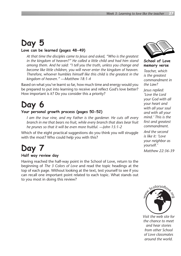### **Day 5**

#### **Love can be learned (pages 48-49)**

*At that time the disciples came to Jesus and asked, "Who is the greatest in the kingdom of heaven?" He called a little child and had him stand among them. And he said: "I tell you the truth, unless you change and become like little children, you will never enter the kingdom of heaven. Therefore, whoever humbles himself like this child is the greatest in the kingdom of heaven." —Matthew 18:1-4*

Based on what you've learnt so far, how much time and energy would you be prepared to put into learning to receive and reflect God's love better? How important is it? Do you consider this a priority?

### **Day 6**

#### **Your personal growth process (pages 50-52)**

*I am the true vine, and my Father is the gardener. He cuts off every branch in me that bears no fruit, while every branch that does bear fruit he prunes so that it will be even more fruitful. —John 15:1-2*

Which of the eight practical suggestions do you think you will struggle with the most? Who could help you with this?

### **Day 7**

#### **Half way review day**

Having reached the half-way point in the School of Love, return to the beginning of *The 3 Colors of Love* and read the topic headings at the top of each page. Without looking at the text, test yourself to see if you can recall one important point related to each topic. What stands out to you most in doing this review?



**School of Love memory verse**

*Teacher, which is the greatest commandment in the Law?*

*Jesus replied: 'Love the Lord your God with all your heart and with all your soul and with all your mind.' This is the first and greatest commandment. And the second is like it: 'Love your neighbor as yourself.'*

*Matthew 22:36-39*



*Visit the web site for the chance to meet and hear stories from other School of Love classmates around the world.*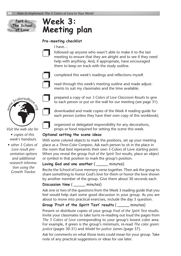

### **Week 3: Meeting plan**

#### **Pre-meeting checklist**

I have…

followed up anyone who wasn't able to make it to the last meeting to ensure that they are alright and to see if they need help with anything. And, if appropriate, have encouraged them to keep on track with the study outline.



❐ completed this week's readings and reflections myself.

read through this week's meeting outline and made adjustments to suit my classmates and the time available.



*Visit the web site for* 

*s copies of this week's handouts.* 

*s other 3 Colors of Love result presentation options and additional research information using the Growth Tracker.*



**THE prepared a copy of our 3 Colors of Love Classroom Results to give to each person or put on the wall for our meeting (see page 31).** 

❐ downloaded and made copies of the Week 4 reading guide for each person (unless they have their own copy of this workbook).

❐ organized or delegated responsibility for any decorations, props or food required for setting the scene this week.

#### **Optional setting the scene ideas**

With some colored objects to mark the positions, set up your meeting place as a *Three-Color Compass*. Ask each person to sit in the place in the room that best represents their own 3 Colors of Love starting point. When you reveal the group *Fruit of the Spirit Test* results, place an object or symbol in that position to mark the group's position.

**Loving God and one another** ( \_\_\_\_\_ minutes)

Recite the School of Love memory verse together. Then ask the group to share something to honor God's love for them or honor the love shown by another member of the group. Give them about 30 seconds each.

#### **Discussion time** ( \_\_\_\_\_ minutes)

Ask one or two of the questions from the Week 3 reading guide that you feel would help start some good discussion in your group. As you are about to move into practical exercises, include the day 5 question.

#### **Group 'Fruit of the Spirit Test' results** ( \_\_\_\_\_ minutes)

Present or distribute copies of your group *Fruit of the Spirit Test* results. Invite your classmates to take turns re-reading out loud the pages from *The 3 Colors of Love* corresponding to your group's lowest color area. For example, if green is the group's minimum, re-read *The color green: justice* (pages 30-31) and *Model for justice: James* (page 37).

Ask for comments on what those texts could mean for your group. Take note of any practical suggestions or ideas for use later.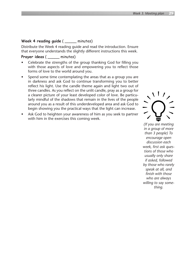#### **Week 4 reading guide** ( \_\_\_\_\_ minutes)

Distribute the Week 4 reading guide and read the introduction. Ensure that everyone understands the slightly different instructions this week.

#### **Prayer ideas** ( \_\_\_\_\_ minutes)

- Celebrate the strengths of the group thanking God for filling you with those aspects of love and empowering you to reflect those forms of love to the world around you.
- Spend some time contemplating the areas that as a group you are in darkness and ask God to continue transforming you to better reflect his light. Use the candle theme again and light two out of three candles. As you reflect on the unlit candle, pray as a group for a clearer picture of your least developed color of love. Be particularly mindful of the shadows that remain in the lives of the people around you as a result of this underdeveloped area and ask God to begin showing you the practical ways that the light can increase.
- Ask God to heighten your awareness of him as you seek to partner with him in the exercises this coming week.



*(If you are meeting in a group of more than 3 people) To encourage open discussion each week, first ask questions of those who usually only share if asked, followed by those who rarely speak at all, and finish with those who are always willing to say something.*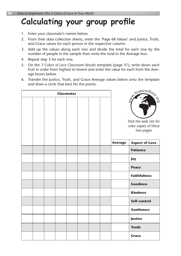### **Calculating your group profle**

- 1. Enter your classmate's names below.
- 2. From their data collection sheets, enter the 'Page 68 Values' and Justice, Truth, and Grace values for each person in the respective column.
- 3. Add up the values along each row and divide the total for each row by the number of people in the sample then write the total in the Average box.
- 4. Repeat step 3 for each row.
- 5. On the *3 Colors of Love Classroom Results* template (page 31), write down each fruit in order from highest to lowest and enter the value for each from the Average boxes below.
- 6. Transfer the Justice, Truth, and Grace Average values below onto the template and draw a circle that best fits the points.

|  |  | <b>Classmates</b> |  |                | State of Colorsoflows<br>Visit the web site for<br>color copies of these<br>two pages |
|--|--|-------------------|--|----------------|---------------------------------------------------------------------------------------|
|  |  |                   |  | <b>Average</b> | <b>Aspect of Love</b>                                                                 |
|  |  |                   |  |                | <b>Patience</b>                                                                       |
|  |  |                   |  |                | Joy                                                                                   |
|  |  |                   |  |                | <b>Peace</b>                                                                          |
|  |  |                   |  |                | <b>Faithfulness</b>                                                                   |
|  |  |                   |  |                | <b>Goodness</b>                                                                       |
|  |  |                   |  |                | <b>Kindness</b>                                                                       |
|  |  |                   |  |                | Self-control                                                                          |
|  |  |                   |  |                | <b>Gentleness</b>                                                                     |
|  |  |                   |  |                | Justice                                                                               |
|  |  |                   |  |                | <b>Truth</b>                                                                          |
|  |  |                   |  |                | <b>Grace</b>                                                                          |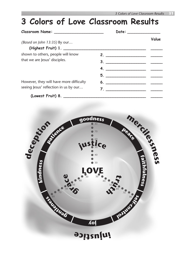#### *(Based on John 13:35)* By our… shown to others, people will know that we are Jesus' disciples. However, they will have more difficulty seeing Jesus' reflection in us by our… **(Highest Fruit) 1. \_\_\_\_\_\_\_\_\_\_\_\_\_\_\_\_\_\_\_\_\_\_\_\_\_\_\_\_\_\_\_\_\_\_\_ \_\_\_\_\_ 2. \_\_\_\_\_\_\_\_\_\_\_\_\_\_\_\_\_ \_\_\_\_\_ 3. \_\_\_\_\_\_\_\_\_\_\_\_\_\_\_\_\_ \_\_\_\_\_ 4. \_\_\_\_\_\_\_\_\_\_\_\_\_\_\_\_\_ \_\_\_\_\_ 5. \_\_\_\_\_\_\_\_\_\_\_\_\_\_\_\_\_ \_\_\_\_\_ 6. \_\_\_\_\_\_\_\_\_\_\_\_\_\_\_\_\_ \_\_\_\_\_ 7. \_\_\_\_\_\_\_\_\_\_\_\_\_\_\_\_\_ \_\_\_\_\_ 3 Colors of Love Classroom Results Classroom Name:** \_\_\_\_\_\_\_\_\_\_\_\_\_\_\_\_\_\_\_\_\_ **Date:** \_\_\_\_\_\_\_\_\_\_\_\_\_\_ **Value**

**(Lowest Fruit) 8. \_\_\_\_\_\_\_\_\_\_\_\_\_\_\_\_\_\_\_\_\_\_\_\_\_\_\_\_\_\_\_\_\_\_\_ \_\_\_\_\_**

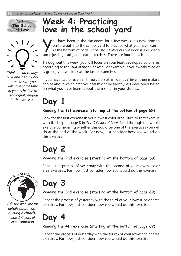



*Think ahead to days 5, 6 and 7 this week to make sure you will have some time in your schedule to meaningfully engage in the exercises.*

### **Week 4: Practicing love in the school yard**

ou have been in the classroom for a few weeks. It's now time to venture out into the school yard to practice what you have learnt. At the bottom of page 69 of *The 3 Colors of Love* book is a guide to some justice, truth, and grace exercises. There are four of each.

Throughout this week, you will focus on your least developed color area according to the *Fruit of the Spirit Test*. For example, if your weakest color is green, you will look at the justice exercises.

If you have two or even all three colors at an identical level, then make a choice about which area you feel might be slightly less developed based on what you have learnt about them so far in your studies.

### **Day 1**

#### **Reading the 1st exercise (starting at the bottom of page 69)**

Look for the first exercise in your lowest color area. Turn to that exercise with the help of page 8 in *The 3 Colors of Love*. Read through the whole exercise considering whether this could be one of the exercises you will do at the end of the week. For now, just consider how *you* would do this exercise.

### **Day 2**

#### **Reading the 2nd exercise (starting at the bottom of page 69)**

Repeat the process of yesterday with the second of your lowest color area exercises. For now, just consider how *you* would do this exercise.



*Visit the web site for details about conducting a churchwide 3 Colors of Love Campaign.*

### **Day 3**

#### **Reading the 3rd exercise (starting at the bottom of page 69)**

Repeat the process of yesterday with the third of your lowest color area exercises. For now, just consider how *you* would do this exercise.

**Day 4**

#### **Reading the 4th exercise (starting at the bottom of page 69)**

Repeat the process of yesterday with the fourth of your lowest color area exercises. For now, just consider how *you* would do this exercise.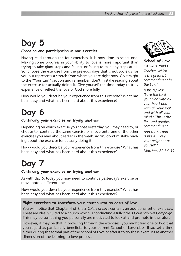### **Day 5**

#### **Choosing and participating in one exercise**

Having read through the four exercises, it is now time to select one. Making some progress in your ability to love is more important than trying to take giant steps and failing, or failing to take any steps at all. So, choose the exercise from the previous days that is not too easy for you but represents a stretch from where you are right now. Go straight to the "Your turn" section and remember, don't mistake reading about the exercise for actually doing it. Give yourself the time today to truly experience or reflect the love of God more fully.

How would you describe your experience from this exercise? What has been easy and what has been hard about this experience?

### **Day 6**

#### **Continuing your exercise or trying another**

Depending on which exercise you chose yesterday, you may need to, or choose to, continue the same exercise or move onto one of the other exercises you read about earlier in the week. Again, don't mistake reading about the exercise for actually doing it.

How would you describe your experience from this exercise? What has been easy and what has been hard about this experience?

### **Day 7**

#### **Continuing your exercise or trying another**

As with day 6, today you may need to continue yesterday's exercise or move onto a different one.

How would you describe your experience from this exercise? What has been easy and what has been hard about this experience?

#### **Eight exercises to transform your church into an oasis of love**

You will notice that Chapter 4 of *The 3 Colors of Love* contains an additional set of exercises. These are ideally suited to a church which is conducting a full-scale *3 Colors of Love Campaign.* This may be something you personally are motivated to look at and promote in the future.

However, it may be that in browsing through the exercises, you might find one or two that you regard as particularly beneficial to your current School of Love class. If so, set a time either during the formal part of the School of Love or after it to try these exercises as another dimension of the learning to love process.



**School of Love memory verse** *Teacher, which is the greatest commandment in* 

*the Law?*

*Jesus replied: 'Love the Lord your God with all your heart and with all your soul and with all your mind.' This is the first and greatest commandment. And the second is like it: 'Love your neighbor as yourself.' Matthew 22:36-39*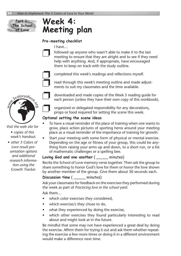

### **Week 4: Meeting plan**

#### **Pre-meeting checklist**

I have…

followed up anyone who wasn't able to make it to the last meeting to ensure that they are alright and to see if they need help with anything. And, if appropriate, have encouraged them to keep on track with the study outline.



❐ completed this week's readings and reflections myself.

read through this week's meeting outline and made adjustments to suit my classmates and the time available.



*Visit the web site for* 

*s copies of this week's handout.* 

*s other 3 Colors of Love result presentation options and additional research information using the Growth Tracker.*



❐ downloaded and made copies of the Week 5 reading guide for each person (unless they have their own copy of this workbook).

❐ organized or delegated responsibility for any decorations, props or food required for setting the scene this week.

#### **Optional setting the scene ideas**

- To have a visual reminder of the place of training when one wants to grow, place action pictures of sporting heros around your meeting place as a visual reminder of the importance of training for growth.
- Start your meeting with some form of physical or mental exercise. Depending on the age or fitness of your group, this could be anything from raising your arms up and down, to a short run, or a list of mathematic challenges or a spelling bee.

#### **Loving God and one another** ( \_\_\_\_\_ minutes)

Recite the School of Love memory verse together. Then ask the group to share something to honor God's love for them or honor the love shown by another member of the group. Give them about 30 seconds each.

#### **Discussion time** (  $minutes)$

Ask your classmates for feedback on the exercises they performed during the week as part of *Practicing love in the school yard*.

Ask them…

- which color exercises they considered,
- which exercise/s they chose to do,
- what they experienced by doing the exercise,
- which other exercises they found particularly interesting to read about and might look at in the future.

Be mindful that some may not have experienced a great deal by doing the exercise. Affirm them for trying it out and ask them whether repeating the exercise a few more times or doing it in a different environment would make a difference next time.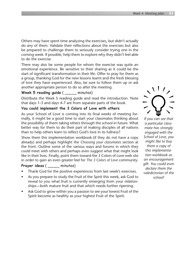Others may have spent time analyzing the exercises, but didn't actually do any of them. Validate their reflections about the exercises but also be prepared to challenge them to seriously consider trying one in the coming week. If possible, help them to explore why they didn't feel able to do the exercise.

There may also be some people for whom the exercise was quite an emotional experience. Be sensitive to their sharing as it could be the start of significant transformation in their life. Offer to pray for them as a group, thanking God for the new lessons learnt and the fresh blessing of love they have experienced. Also, be sure to follow them up or ask another appropriate person to do so after the meeting.

#### Week 5 reading quide ( minutes)

Distribute the Week 5 reading guide and read the introduction. Note that days 1-3 and days 4-7 are from separate parts of the book.

#### **You could implement the 3 Colors of Love with others**

As your School of Love is coming into its final weeks of meeting formally, it might be a good time to start your classmates thinking about the possibility of them taking others through the school in future. What better way for them to do their part of making disciples of all nations than to help others learn to reflect God's love in its fullness?

Show them this implementation workbook (if they do not have a copy already) and perhaps highlight the *Choosing your classmates* section at the front. Outline some of the various ways and forums in which they could meet with others and perhaps even suggest what that might look like in their lives. Finally, point them toward the 3 Colors of Love web site in order to gain an even greater feel for *The 3 Colors of Love* community.

#### **Prayer ideas** ( \_\_\_\_\_ minutes)

- Thank God for the positive experiences from last week's exercises.
- As you prepare to study the Fruit of the Spirit this week, ask God to reveal to you what fruit is currently emerging from your relationships—both mature fruit and that which needs further ripening.
- Ask God to grow within you a passion to see your lowest Fruit of the Spirit become as healthy as your highest Fruit of the Spirit.



*If you can see that a particular classmate has strongly engaged with the School of Love, you might like to buy them a copy of this implementation workbook as an encouragement gift. You could even declare them the valedictorian of the school!*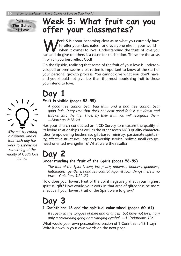

### **Week 5: What fruit can you offer your classmates?**

Week 5 is about becoming clear as to what you currently have<br>to offer your classmates—and everyone else in your world—<br>when it comes to love. Understanding the fruits of love you to offer your classmates—and everyone else in your world when it comes to love. Understanding the fruits of love you can and do give to others is a cause for celebration. These are the areas in which you best reflect God!

On the flipside, realizing that some of the fruit of your love is underdeveloped or even seems a bit rotten is important to know at the start of your personal growth process. You cannot give what you don't have, and you should not give less than the most nourishing fruit to those you intend to love.

# $\langle$  \  $\vert$  /  $\rangle$

*Why not try eating a different kind of fruit each day this week to experience something of the variety of God's love for us.*

### **Day 1**

#### **Fruit is visible (pages 53-55)**

*A good tree cannot bear bad fruit, and a bad tree cannot bear good fruit. Every tree that does not bear good fruit is cut down and thrown into the fire. Thus, by their fruit you will recognize them. —Matthew 7:18-20*

Has your church conducted an NCD Survey to measure the quality of its loving relationships as well as the other seven NCD quality characteristics (empowering leadership, gift-based ministry, passionate spirituality, effective structures, inspiring worship service, holistic small groups, need-oriented evangelism)? What were the results?

### **Day 2**

#### **Understanding the fruit of the Spirit (pages 56-59)**

*The fruit of the Spirit is love, joy, peace, patience, kindness, goodness, faithfulness, gentleness and self-control. Against such things there is no law. —Galatians 5:22-23*

How does your lowest Fruit of the Spirit negatively affect your highest spiritual gift? How would your work in that area of giftedness be more effective if your lowest Fruit of the Spirit were to grow?

### **Day 3**

#### **1 Corinthians 13 and the spiritual color wheel (pages 60-61)**

*If I speak in the tongues of men and of angels, but have not love, I am only a resounding gong or a clanging cymbal. —1 Corinthians 13:1*

What would your own personalized version of 1 Corinthians 13:1 say? Write it down in your own words on the next page.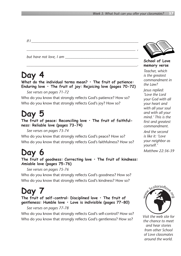*If I \_\_\_\_\_\_\_\_\_\_\_\_\_\_\_\_\_\_\_\_\_\_\_\_\_\_\_\_\_\_\_\_\_\_\_\_\_\_\_\_\_\_\_\_\_\_\_\_\_\_\_\_\_\_\_\_\_*

*but have not love, I am \_\_\_\_\_\_\_\_\_\_\_\_\_\_\_\_\_\_\_\_\_\_\_\_\_\_\_\_\_\_\_\_\_\_\_\_\_\_\_*

### **Day 4**

**What do the individual terms mean? • The fruit of patience: Enduring love • The fruit of joy: Rejoicing love (pages 70-72)**

*\_\_\_\_\_\_\_\_\_\_\_\_\_\_\_\_\_\_\_\_\_\_\_\_\_\_\_\_\_\_\_\_\_\_\_\_\_\_\_\_\_\_\_\_\_\_\_\_\_\_\_\_\_\_\_\_\_\_ ,*

*\_\_\_\_\_\_\_\_\_\_\_\_\_\_\_\_\_\_\_\_\_\_\_\_\_\_\_\_\_\_\_\_\_\_\_\_\_\_\_\_\_\_\_\_\_\_\_\_\_\_\_\_\_\_\_\_\_\_\_.* 

*See verses on pages 71-72*

Who do you know that strongly reflects God's patience? How so? Who do you know that strongly reflects God's joy? How so?

### **Day 5**

**The fruit of peace: Reconciling love • The fruit of faithfulness: Reliable love (pages 73-74)**

*See verses on pages 73-74*

Who do you know that strongly reflects God's peace? How so? Who do you know that strongly reflects God's faithfulness? How so?

### **Day 6**

**The fruit of goodness: Correcting love • The fruit of kindness: Amiable love (pages 75-76)**

*See verses on pages 75-76*

Who do you know that strongly reflects God's goodness? How so? Who do you know that strongly reflects God's kindness? How so?

#### **Day 7 The fruit of self-control: Disciplined love • The fruit of gentleness: Humble love • Love is indivisible (pages 77-80)**

*See verses on pages 77-78*

Who do you know that strongly reflects God's self-control? How so? Who do you know that strongly reflects God's gentleness? How so?



**School of Love memory verse**

*Teacher, which is the greatest commandment in the Law?*

*Jesus replied: 'Love the Lord your God with all your heart and with all your soul and with all your mind.' This is the first and greatest commandment. And the second is like it: 'Love your neighbor as yourself.' Matthew 22:36-39*



*Visit the web site for the chance to meet and hear stories from other School of Love classmates around the world.*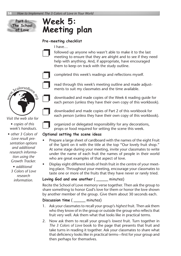**Part 1: The School of Love**

### **Week 5: Meeting plan**

#### **Pre-meeting checklist**

I have…

followed up anyone who wasn't able to make it to the last meeting to ensure that they are alright and to see if they need help with anything. And, if appropriate, have encouraged them to keep on track with the study outline.



❐ completed this week's readings and reflections myself.

read through this week's meeting outline and made adjustments to suit my classmates and the time available.

❐ downloaded and made copies of the Week 6 reading guide for each person (unless they have their own copy of this workbook).

downloaded and made copies of Part 2 of this workbook for each person (unless they have their own copy of this workbook).

*s copies of this week's handouts.* 

*Visit the web site for* 

- *s other 3 Colors of Love result presentation options and additional research information using the Growth Tracker.*
	- *s additional 3 Colors of Love research information.*

organized or delegated responsibility for any decorations, props or food required for setting the scene this week.

#### **Optional setting the scene ideas**

- Prepare a large sheet of cardboard with the names of the eight Fruit of the Spirit on it with the title at the top "Our lovely fruit shop." At some stage during your meeting, invite your classmates to write under the name of each fruit the names of people in their world who are great examples of that aspect of love.
- Display eight different kinds of fresh fruit in the centre of your meeting place. Throughout your meeting, encourage your classmates to taste one or more of the fruits that they have never or rarely tried.

#### **Loving God and one another** ( \_\_\_\_\_ minutes)

Recite the School of Love memory verse together. Then ask the group to share something to honor God's love for them or honor the love shown by another member of the group. Give them about 30 seconds each.

#### **Discussion time** (  $minutes)$

- 1. Ask your classmates to recall your group's *highest* fruit. Then ask them who they know of in the group or outside the group who reflects that fruit very well. Ask them what that looks like in practical terms.
- 2. Now ask them to recall your group's *lowest* fruit. Turn together in *The 3 Colors of Love* book to the page that presents that fruit and take turns in reading it together. Ask your classmates to share what that deficiency looks like in practical terms—first for your group and then perhaps for themselves.

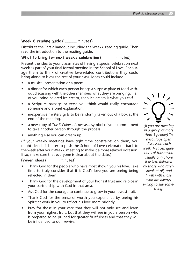#### **Week 6 reading guide** ( \_\_\_\_\_ minutes)

Distribute the Part 2 handout including the Week 6 reading guide. Then read the introduction to the reading guide.

**What to bring for next week's celebration** ( \_\_\_\_\_ minutes)

Present the idea to your classmates of having a special celebration next week as part of your final formal meeting in the School of Love. Encourage them to think of creative love-related contributions they could bring along to bless the rest of your class. Ideas could include…

- a musical presentation or a poem.
- a dinner for which each person brings a surprise plate of food without discussing with the other members what they are bringing. If all of you bring colored ice cream, then ice cream is what you eat!
- a Scripture passage or verse you think would really encourage someone and a brief explanation.
- inexpensive mystery gifts to be randomly taken out of a box at the end of the meeting.
- a new copy of *The 3 Colors of Love* as a symbol of your commitment to take another person through the process.
- anything else you can dream up!

(If your weekly meetings have tight time constraints on them, you might decide it better to push the School of Love celebration back to the week after your Week 6 meeting to make it a more relaxed occasion. If so, make sure that everyone is clear about the date.)

#### **Prayer ideas** ( \_\_\_\_\_ minutes)

- Thank God for the people who have most shown you his love. Take time to truly consider that it is God's love you are seeing being reflected in them.
- Thank God for the development of your highest fruit and rejoice in your partnership with God in that area.
- Ask God for the courage to continue to grow in your lowest fruit.
- Thank God for the sense of worth you experience by seeing his Spirit at work in you to reflect his love more brightly.
- Pray for those in your care that they will not only see and learn from your highest fruit, but that they will see in you a person who is prepared to be pruned for greater fruitfulness and that they will be influenced to do likewise.



*(If you are meeting in a group of more than 3 people) To encourage open discussion each week, first ask questions of those who usually only share if asked, followed by those who rarely speak at all, and finish with those who are always willing to say something.*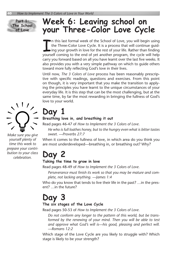#### **Part 1: The School of Love**

### **Week 6: Leaving school on your Three-Color Love Cycle**

In this last formal week of the School of Love, you will begin using<br>the Three-Color Love Cycle. It is a process that will continue guid-<br>ing your growth in love for the rest of your life. Rather than finding<br>yourself comi n this last formal week of the School of Love, you will begin using the Three-Color Love Cycle. It is a process that will continue guiding your growth in love for the rest of your life. Rather than finding carry you forward based on all you have learnt over the last five weeks. It also provides you with a very simple pathway on which to guide others toward more fully reflecting God's love in their lives.

Until now, *The 3 Colors of Love* process has been reasonably prescriptive with specific readings, questions and exercises. From this point on though, it is very important that you make the transition to applying the principles you have learnt to the unique circumstances of your everyday life. It is this step that can be the most challenging, but at the same time, by far the most rewarding in bringing the fullness of God's love to your world.

### **Day 1**

#### **Breathing love in, and breathing it out**

Read pages 46-47 of *How to Implement the 3 Colors of Love*.

*He who is full loathes honey, but to the hungry even what is bitter tastes sweet. —Proverbs 27:7*

When it comes to the fullness of love, in which area do you think you are most underdeveloped—breathing in, or breathing out? Why?

### **Day 2**

#### **Taking the time to grow in love**

Read pages 48-49 of *How to Implement the 3 Colors of Love*.

*Perseverance must finish its work so that you may be mature and complete, not lacking anything. —James 1:4*

Who do you know that tends to live their life in the past? ... in the present? …in the future?

### **Day 3**

#### **The six stages of the Love Cycle**

Read pages 50-53 of *How to Implement the 3 Colors of Love*.

*Do not conform any longer to the pattern of this world, but be transformed by the renewing of your mind. Then you will be able to test and approve what God's will is—his good, pleasing and perfect will. —Romans 12:2*

Which stage of the Love Cycle are you likely to struggle with? Which stage is likely to be your strength?

*Make sure you give yourself plenty of time this week to prepare your contribution to your class celebration.*

 $\frac{1}{2}$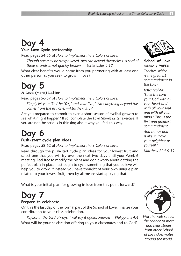### **Day 4**

#### **Your Love Cycle partnership**

Read pages 54-55 of *How to Implement the 3 Colors of Love*.

*Though one may be overpowered, two can defend themselves. A cord of three strands is not quickly broken. —Ecclesiastes 4:12*

What clear benefits would come from you partnering with at least one other person as you seek to grow in love?

### **Day 5**

#### **A Love (more) Letter**

Read pages 56-57 of *How to Implement the 3 Colors of Love*. *Simply let your 'Yes' be 'Yes,' and your 'No,' 'No'; anything beyond this comes from the evil one. —Matthew 5:37*

Are you prepared to commit to even a short season of cyclical growth to see what might happen? If so, complete the *Love (more) Letter* exercise. If you are not, be serious in thinking about why you feel this way.

### **Day 6**

#### **Push-start cycle plan ideas**

Read pages 58-62 of *How to Implement the 3 Colors of Love*.

Read through the push-start cycle plan ideas for your lowest fruit and select one that you will try over the next two days until your Week 6 meeting. Feel free to modify the plans and don't worry about getting the perfect plan in place. Just begin to cycle something that you believe will help you to grow. If instead you have thought of your own unique plan related to your lowest fruit, then by all means start applying that.

What is your initial plan for growing in love from this point forward?

### **Day 7**

#### **Prepare to celebrate**

On this the last day of the formal part of the School of Love, finalize your contribution to your class celebration.

*Rejoice in the Lord always. I will say it again: Rejoice! —Philippians 4:4* What will be your celebration offering to your classmates and to God?



**School of Love memory verse**

*Teacher, which is the greatest commandment in the Law?*

*Jesus replied: 'Love the Lord your God with all your heart and with all your soul and with all your mind.' This is the first and greatest commandment. And the second* 

*is like it: 'Love your neighbor as yourself.'*

*Matthew 22:36-39*



*Visit the web site for the chance to meet and hear stories from other School of Love classmates around the world.*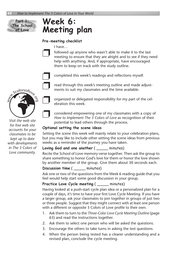**Part 1: The School of Love**

### **Week 6: Meeting plan**

#### **Pre-meeting checklist**

I have…

followed up anyone who wasn't able to make it to the last meeting to ensure that they are alright and to see if they need help with anything. And, if appropriate, have encouraged them to keep on track with the study outline.



❐ completed this week's readings and reflections myself.

read through this week's meeting outline and made adjustments to suit my classmates and the time available.

❐ organized or delegated responsibility for my part of the celebration this week.

❐ considered empowering one of my classmates with a copy of *How to Implement The 3 Colors of Love* as recognition of their potential to lead others through the process.

#### **Optional setting the scene ideas**

Setting the scene this week will mainly relate to your celebration plans, but you may like to include other setting the scene ideas from previous weeks as a reminder of the journey you have taken.

**Loving God and one another** ( \_\_\_\_\_ minutes)

Recite the School of Love memory verse together. Then ask the group to share something to honor God's love for them or honor the love shown by another member of the group. Give them about 30 seconds each.

#### **Discussion time** (  $minutes)$

Ask one or two of the questions from the Week 6 reading guide that you feel would help start some good discussion in your group.

#### **Practice Love Cycle meeting** ( \_\_\_\_\_ minutes)

Having looked at a push-start cycle plan idea or a personalized plan for a couple of days, it's time to have your first Love Cycle Meeting. If you have a larger group, ask your classmates to join together in groups of just two or three people. Suggest that they might connect with at least one person with a different or opposite 3 Colors of Love profile to their own.

- 1. Ask them to turn to the *Three-Color Love Cycle Meeting Outline* (page 63) and read the instructions together.
- 2. Ask them to select one person who will be asked the questions.
- 3. Encourage the others to take turns in asking the test questions.
- 4. When the person being tested has a clearer understanding and a revised plan, conclude the cycle meeting.

*Visit the web site*  Þwww.3colorsoflove.o<sup>r</sup>g

*for free web site accounts for your classmates to be kept up to date with developments in The 3 Colors of Love community.*